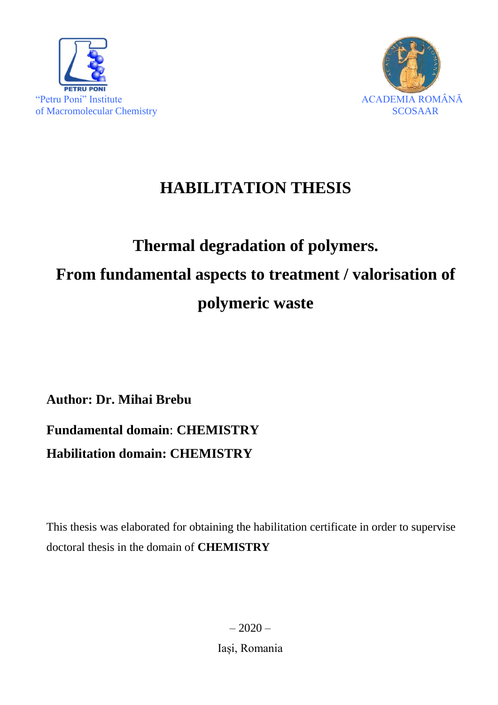



# **HABILITATION THESIS**

# **Thermal degradation of polymers. From fundamental aspects to treatment / valorisation of polymeric waste**

**Author: Dr. Mihai Brebu**

# **Fundamental domain**: **CHEMISTRY Habilitation domain: CHEMISTRY**

This thesis was elaborated for obtaining the habilitation certificate in order to supervise doctoral thesis in the domain of **CHEMISTRY**

> $-2020-$ Iași, Romania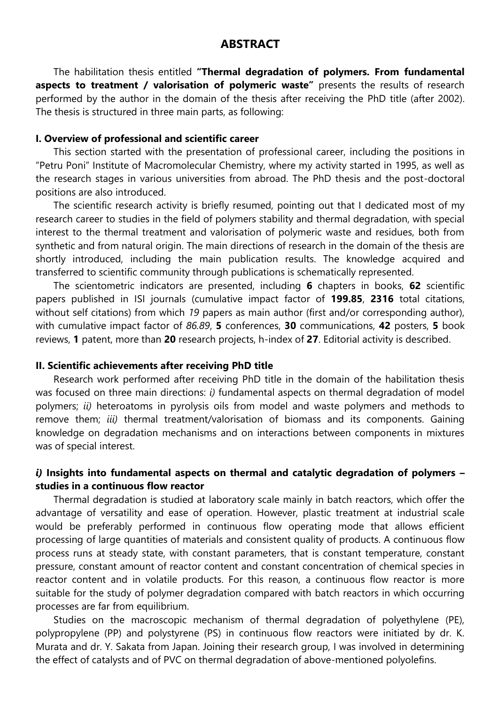#### **ABSTRACT**

The habilitation thesis entitled **"Thermal degradation of polymers. From fundamental aspects to treatment / valorisation of polymeric waste"** presents the results of research performed by the author in the domain of the thesis after receiving the PhD title (after 2002). The thesis is structured in three main parts, as following:

#### **I. Overview of professional and scientific career**

This section started with the presentation of professional career, including the positions in "Petru Poni" Institute of Macromolecular Chemistry, where my activity started in 1995, as well as the research stages in various universities from abroad. The PhD thesis and the post-doctoral positions are also introduced.

The scientific research activity is briefly resumed, pointing out that I dedicated most of my research career to studies in the field of polymers stability and thermal degradation, with special interest to the thermal treatment and valorisation of polymeric waste and residues, both from synthetic and from natural origin. The main directions of research in the domain of the thesis are shortly introduced, including the main publication results. The knowledge acquired and transferred to scientific community through publications is schematically represented.

The scientometric indicators are presented, including **6** chapters in books, **62** scientific papers published in ISI journals (cumulative impact factor of **199.85**, **2316** total citations, without self citations) from which *19* papers as main author (first and/or corresponding author), with cumulative impact factor of *86.89*, **5** conferences, **30** communications, **42** posters, **5** book reviews, **1** patent, more than **20** research projects, h-index of **27**. Editorial activity is described.

#### **II. Scientific achievements after receiving PhD title**

Research work performed after receiving PhD title in the domain of the habilitation thesis was focused on three main directions: *i)* fundamental aspects on thermal degradation of model polymers; *ii)* heteroatoms in pyrolysis oils from model and waste polymers and methods to remove them; *iii)* thermal treatment/valorisation of biomass and its components. Gaining knowledge on degradation mechanisms and on interactions between components in mixtures was of special interest.

#### *i)* **Insights into fundamental aspects on thermal and catalytic degradation of polymers – studies in a continuous flow reactor**

Thermal degradation is studied at laboratory scale mainly in batch reactors, which offer the advantage of versatility and ease of operation. However, plastic treatment at industrial scale would be preferably performed in continuous flow operating mode that allows efficient processing of large quantities of materials and consistent quality of products. A continuous flow process runs at steady state, with constant parameters, that is constant temperature, constant pressure, constant amount of reactor content and constant concentration of chemical species in reactor content and in volatile products. For this reason, a continuous flow reactor is more suitable for the study of polymer degradation compared with batch reactors in which occurring processes are far from equilibrium.

Studies on the macroscopic mechanism of thermal degradation of polyethylene (PE), polypropylene (PP) and polystyrene (PS) in continuous flow reactors were initiated by dr. K. Murata and dr. Y. Sakata from Japan. Joining their research group, I was involved in determining the effect of catalysts and of PVC on thermal degradation of above-mentioned polyolefins.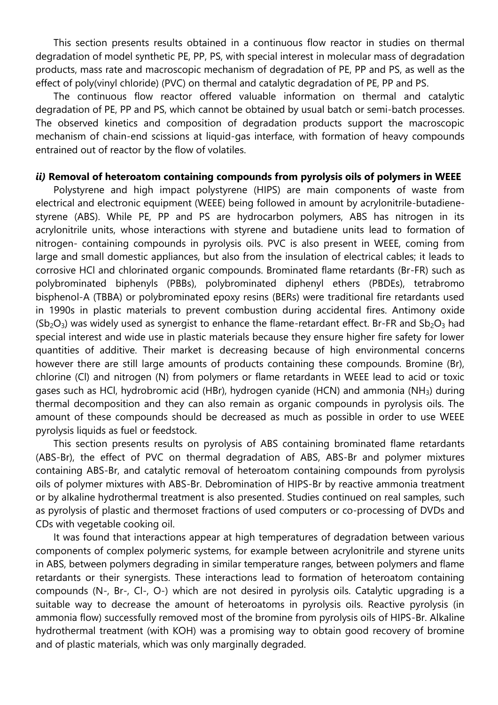This section presents results obtained in a continuous flow reactor in studies on thermal degradation of model synthetic PE, PP, PS, with special interest in molecular mass of degradation products, mass rate and macroscopic mechanism of degradation of PE, PP and PS, as well as the effect of poly(vinyl chloride) (PVC) on thermal and catalytic degradation of PE, PP and PS.

The continuous flow reactor offered valuable information on thermal and catalytic degradation of PE, PP and PS, which cannot be obtained by usual batch or semi-batch processes. The observed kinetics and composition of degradation products support the macroscopic mechanism of chain-end scissions at liquid-gas interface, with formation of heavy compounds entrained out of reactor by the flow of volatiles.

#### *ii)* **Removal of heteroatom containing compounds from pyrolysis oils of polymers in WEEE**

Polystyrene and high impact polystyrene (HIPS) are main components of waste from electrical and electronic equipment (WEEE) being followed in amount by acrylonitrile-butadienestyrene (ABS). While PE, PP and PS are hydrocarbon polymers, ABS has nitrogen in its acrylonitrile units, whose interactions with styrene and butadiene units lead to formation of nitrogen- containing compounds in pyrolysis oils. PVC is also present in WEEE, coming from large and small domestic appliances, but also from the insulation of electrical cables; it leads to corrosive HCl and chlorinated organic compounds. Brominated flame retardants (Br-FR) such as polybrominated biphenyls (PBBs), polybrominated diphenyl ethers (PBDEs), tetrabromo bisphenol-A (TBBA) or polybrominated epoxy resins (BERs) were traditional fire retardants used in 1990s in plastic materials to prevent combustion during accidental fires. Antimony oxide  $(Sb<sub>2</sub>O<sub>3</sub>)$  was widely used as synergist to enhance the flame-retardant effect. Br-FR and  $Sb<sub>2</sub>O<sub>3</sub>$  had special interest and wide use in plastic materials because they ensure higher fire safety for lower quantities of additive. Their market is decreasing because of high environmental concerns however there are still large amounts of products containing these compounds. Bromine (Br), chlorine (Cl) and nitrogen (N) from polymers or flame retardants in WEEE lead to acid or toxic gases such as HCl, hydrobromic acid (HBr), hydrogen cyanide (HCN) and ammonia (NH3) during thermal decomposition and they can also remain as organic compounds in pyrolysis oils. The amount of these compounds should be decreased as much as possible in order to use WEEE pyrolysis liquids as fuel or feedstock.

This section presents results on pyrolysis of ABS containing brominated flame retardants (ABS-Br), the effect of PVC on thermal degradation of ABS, ABS-Br and polymer mixtures containing ABS-Br, and catalytic removal of heteroatom containing compounds from pyrolysis oils of polymer mixtures with ABS-Br. Debromination of HIPS-Br by reactive ammonia treatment or by alkaline hydrothermal treatment is also presented. Studies continued on real samples, such as pyrolysis of plastic and thermoset fractions of used computers or co-processing of DVDs and CDs with vegetable cooking oil.

It was found that interactions appear at high temperatures of degradation between various components of complex polymeric systems, for example between acrylonitrile and styrene units in ABS, between polymers degrading in similar temperature ranges, between polymers and flame retardants or their synergists. These interactions lead to formation of heteroatom containing compounds (N-, Br-, Cl-, O-) which are not desired in pyrolysis oils. Catalytic upgrading is a suitable way to decrease the amount of heteroatoms in pyrolysis oils. Reactive pyrolysis (in ammonia flow) successfully removed most of the bromine from pyrolysis oils of HIPS-Br. Alkaline hydrothermal treatment (with KOH) was a promising way to obtain good recovery of bromine and of plastic materials, which was only marginally degraded.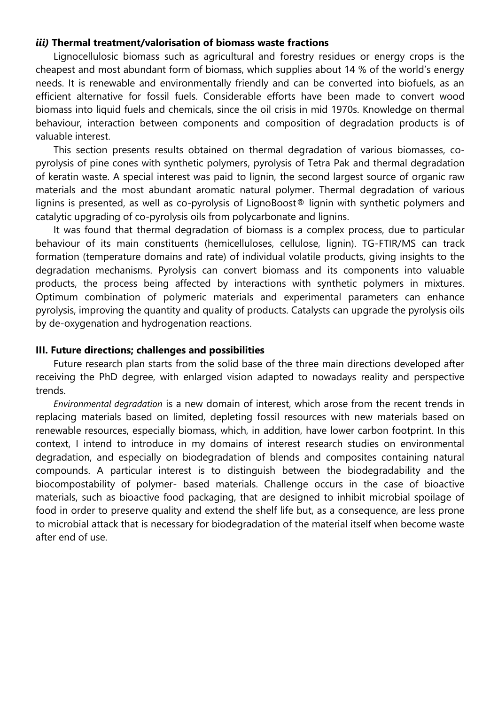#### *iii)* **Thermal treatment/valorisation of biomass waste fractions**

Lignocellulosic biomass such as agricultural and forestry residues or energy crops is the cheapest and most abundant form of biomass, which supplies about 14 % of the world's energy needs. It is renewable and environmentally friendly and can be converted into biofuels, as an efficient alternative for fossil fuels. Considerable efforts have been made to convert wood biomass into liquid fuels and chemicals, since the oil crisis in mid 1970s. Knowledge on thermal behaviour, interaction between components and composition of degradation products is of valuable interest.

This section presents results obtained on thermal degradation of various biomasses, copyrolysis of pine cones with synthetic polymers, pyrolysis of Tetra Pak and thermal degradation of keratin waste. A special interest was paid to lignin, the second largest source of organic raw materials and the most abundant aromatic natural polymer. Thermal degradation of various lignins is presented, as well as co-pyrolysis of LignoBoost® lignin with synthetic polymers and catalytic upgrading of co-pyrolysis oils from polycarbonate and lignins.

It was found that thermal degradation of biomass is a complex process, due to particular behaviour of its main constituents (hemicelluloses, cellulose, lignin). TG-FTIR/MS can track formation (temperature domains and rate) of individual volatile products, giving insights to the degradation mechanisms. Pyrolysis can convert biomass and its components into valuable products, the process being affected by interactions with synthetic polymers in mixtures. Optimum combination of polymeric materials and experimental parameters can enhance pyrolysis, improving the quantity and quality of products. Catalysts can upgrade the pyrolysis oils by de-oxygenation and hydrogenation reactions.

#### **III. Future directions; challenges and possibilities**

Future research plan starts from the solid base of the three main directions developed after receiving the PhD degree, with enlarged vision adapted to nowadays reality and perspective trends.

*Environmental degradation* is a new domain of interest, which arose from the recent trends in replacing materials based on limited, depleting fossil resources with new materials based on renewable resources, especially biomass, which, in addition, have lower carbon footprint. In this context, I intend to introduce in my domains of interest research studies on environmental degradation, and especially on biodegradation of blends and composites containing natural compounds. A particular interest is to distinguish between the biodegradability and the biocompostability of polymer- based materials. Challenge occurs in the case of bioactive materials, such as bioactive food packaging, that are designed to inhibit microbial spoilage of food in order to preserve quality and extend the shelf life but, as a consequence, are less prone to microbial attack that is necessary for biodegradation of the material itself when become waste after end of use.